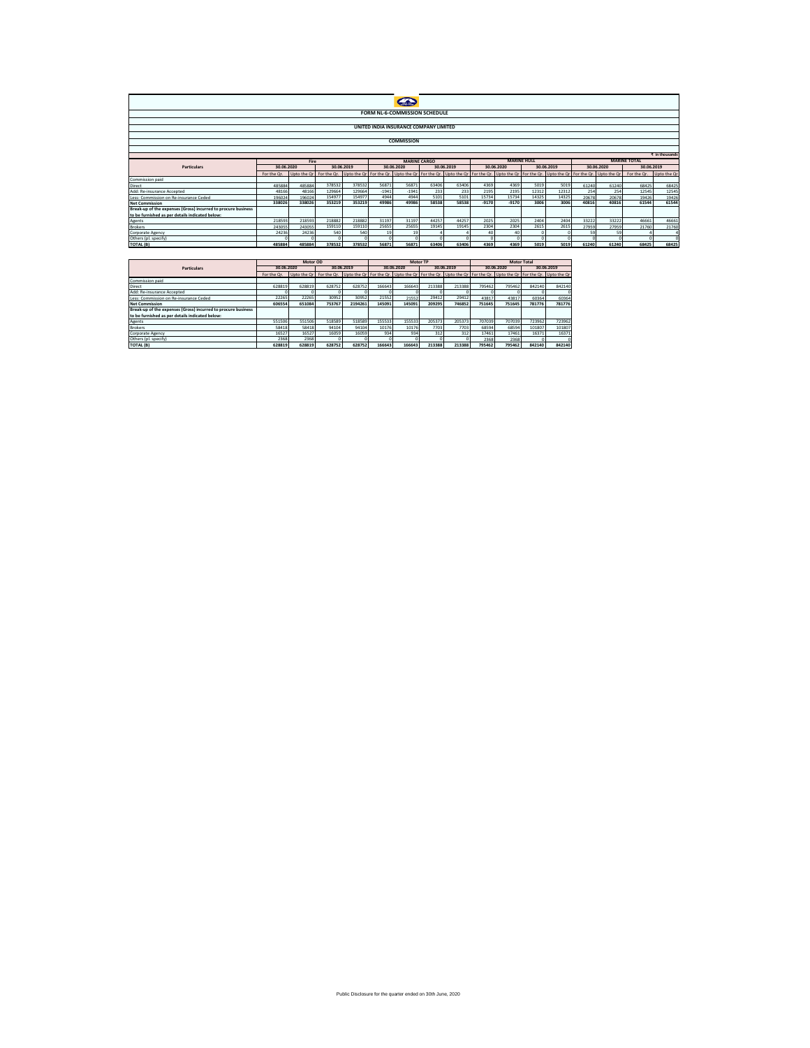| FORM NL-6-COMMISSION SCHEDULE                                            |                |        |                                                                                                                                                                           |          |            |            |            |       |            |         |            |       |            |          |             |             |  |
|--------------------------------------------------------------------------|----------------|--------|---------------------------------------------------------------------------------------------------------------------------------------------------------------------------|----------|------------|------------|------------|-------|------------|---------|------------|-------|------------|----------|-------------|-------------|--|
|                                                                          |                |        |                                                                                                                                                                           |          |            |            |            |       |            |         |            |       |            |          |             |             |  |
| UNITED INDIA INSURANCE COMPANY LIMITED                                   |                |        |                                                                                                                                                                           |          |            |            |            |       |            |         |            |       |            |          |             |             |  |
|                                                                          |                |        |                                                                                                                                                                           |          |            |            |            |       |            |         |            |       |            |          |             |             |  |
| <b>COMMISSION</b>                                                        |                |        |                                                                                                                                                                           |          |            |            |            |       |            |         |            |       |            |          |             |             |  |
|                                                                          |                |        |                                                                                                                                                                           |          |            |            |            |       |            |         |            |       |            |          |             |             |  |
|                                                                          | ₹ in thousands |        |                                                                                                                                                                           |          |            |            |            |       |            |         |            |       |            |          |             |             |  |
| <b>MARINE CARGO</b><br><b>MARINE HULL</b><br><b>MARINE TOTAL</b><br>Fire |                |        |                                                                                                                                                                           |          |            |            |            |       |            |         |            |       |            |          |             |             |  |
| Particulars                                                              | 30.06.2020     |        | 30.06.2019                                                                                                                                                                |          | 30.06.2020 |            | 30.06.2019 |       | 30.06.2020 |         | 30.06.2019 |       | 30.06.2020 |          | 30.06.2019  |             |  |
|                                                                          | For the Or.    |        | Upto the Qr For the Qr. Upto the Qr For the Qr. Upto the Qr For the Qr. Upto the Qr For the Qr. Upto the Qr For the Qr. Upto the Qr For the Qr. Upto the Qr. Upto the Qr. |          |            |            |            |       |            |         |            |       |            |          | For the Or. | Upto the Or |  |
| Commission paid                                                          |                |        |                                                                                                                                                                           |          |            |            |            |       |            |         |            |       |            |          |             |             |  |
| Direct                                                                   | 485884         | 485884 | 378532                                                                                                                                                                    | 378532   | 56871      | 56871      | 63406      | 63406 | 4369       | 4369    | 5019       | 5019  | 61240      | 61240    | 68425       | 68425       |  |
| Add: Re-insurance Accepted                                               | 48166          | 48166  | 129664                                                                                                                                                                    | 129664   | $-1941$    | $-1941$    | 233        | 233   | 2195       | 2195    | 12312      | 12312 | 254        | 254      | 12545       | 12545       |  |
| Less: Commission on Re-insurance Ceded                                   | 196024         | 196024 | 154977                                                                                                                                                                    | 154977   | 4944       | 4944       | 5101       | 5101  | 15734      | 15734   | 14325      | 14325 | 20678      | 20678    | 19426       | 19426       |  |
| <b>Net Commission</b>                                                    | 338026         | 338026 | 353219                                                                                                                                                                    | 353219   | 49986      | 49986      | 58538      | 58538 | $-9170$    | $-9170$ | 3006       | 3006  | 40816      | 40816    | 61544       | 61544       |  |
| Break-up of the expenses (Gross) incurred to procure business            |                |        |                                                                                                                                                                           |          |            |            |            |       |            |         |            |       |            |          |             |             |  |
| to be furnished as per details indicated below:                          |                |        |                                                                                                                                                                           |          |            |            |            |       |            |         |            |       |            |          |             |             |  |
| Agents                                                                   | 218593         | 218593 | 218882                                                                                                                                                                    | 218882   | 31197      | 31197      | 44257      | 44257 | 2025       | 2025    | 2404       | 2404  | 33222      | 33222    | 46661       | 46661       |  |
| <b>Brokers</b>                                                           | 243055         | 243055 | 159110                                                                                                                                                                    | 159110   | 25655      | 25655      | 19145      | 19145 | 2304       | 2304    | 2615       | 2615  | 27959      | 27959    | 21760       | 21760       |  |
| Corporate Agency                                                         | 24236          | 24236  | 540                                                                                                                                                                       | 540      | 19         | 19         |            |       | 40         | 40      |            |       | 59         | 59       |             |             |  |
| Others (pl. specify)                                                     |                |        |                                                                                                                                                                           | $\Omega$ |            | $\sqrt{2}$ |            |       |            |         | $\Omega$   |       |            | $\Omega$ |             | $\sqrt{2}$  |  |
| <b>TOTAL (B)</b>                                                         | 485884         | 485884 | 378532                                                                                                                                                                    | 378532   | 56871      | 56871      | 63406      | 63406 | 4369       | 4369    | 5019       | 5019  | 61240      | 61240    | 68425       | 68425       |  |
|                                                                          |                |        |                                                                                                                                                                           |          |            |            |            |       |            |         |            |       |            |          |             |             |  |

|                                                               |             | Motor OD |                                                                                                                                                           |         |        |            | Motor TP |            | <b>Motor Total</b> |            |            |        |  |  |
|---------------------------------------------------------------|-------------|----------|-----------------------------------------------------------------------------------------------------------------------------------------------------------|---------|--------|------------|----------|------------|--------------------|------------|------------|--------|--|--|
| <b>Particulars</b>                                            | 30.06.2020  |          | 30.06.2019                                                                                                                                                |         |        | 30.06.2020 |          | 30.06.2019 |                    | 30.06.2020 | 30.06.2019 |        |  |  |
|                                                               | For the Or. |          | Up to the Orl For the Or.   Up to the Orl For the Or.   Up to the Orl For the Or.   Up to the Orl For the Or.   Up to the Orl For the Or.   Up to the Orl |         |        |            |          |            |                    |            |            |        |  |  |
| Commission paid                                               |             |          |                                                                                                                                                           |         |        |            |          |            |                    |            |            |        |  |  |
| <b>Direct</b>                                                 | 628819      | 628819   | 628752                                                                                                                                                    | 628752  | 166643 | 166643     | 213388   | 213388     | 795462             | 795462     | 842140     | 842140 |  |  |
| Add: Re-insurance Accepted                                    |             |          |                                                                                                                                                           |         |        |            |          |            |                    |            |            |        |  |  |
| Less: Commission on Re-insurance Ceded                        | 22265       | 22265    | 30952                                                                                                                                                     | 30952   | 21552  | 21552      | 29412    | 29412      | 43817              | 43817      | 60364      | 60364  |  |  |
| <b>Net Commission</b>                                         | 606554      | 651084   | 753767                                                                                                                                                    | 2194261 | 145091 | 145091     | 209295   | 746852     | 751645             | 751645     | 781776     | 781776 |  |  |
| Break-up of the expenses (Gross) incurred to procure business |             |          |                                                                                                                                                           |         |        |            |          |            |                    |            |            |        |  |  |
| to be furnished as per details indicated below:               |             |          |                                                                                                                                                           |         |        |            |          |            |                    |            |            |        |  |  |
| Agents                                                        | 551506      | 551506   | 518589                                                                                                                                                    | 518589  | 155533 | 155533     | 205373   | 205373     | 707039             | 707039     | 723962     | 723962 |  |  |
| <b>Brokers</b>                                                | 58418       | 58418    | 94104                                                                                                                                                     | 94104   | 10176  | 10176      | 7703     | 7703       | 68594              | 68594      | 101807     | 101807 |  |  |
| Corporate Agency                                              | 16527       | 16527    | 16059                                                                                                                                                     | 16059   | 934    | 934        | 312      | 312        | 17461              | 17461      | 16371      | 16371  |  |  |
| Others (pl. specify)                                          | 2368        | 2368     |                                                                                                                                                           |         |        |            |          |            | 2368               | 2368       |            |        |  |  |
| TOTAL (B)                                                     | 628819      | 628819   | 628752                                                                                                                                                    | 628752  | 166643 | 166643     | 213388   | 213388     | 795462             | 795462     | 842140     | 842140 |  |  |